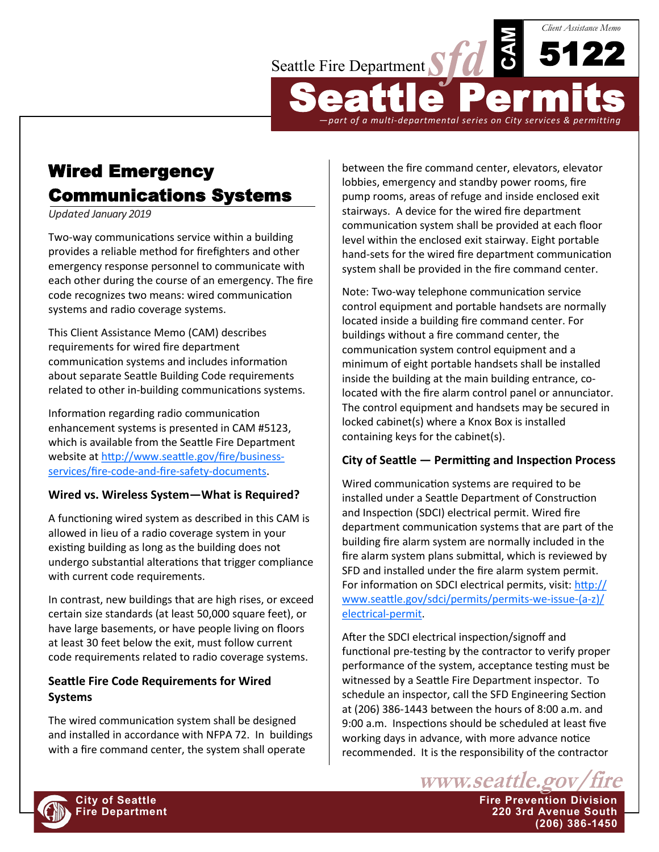

# Wired Emergency Communications Systems

*Updated January 2019*

Two-way communications service within a building provides a reliable method for firefighters and other emergency response personnel to communicate with each other during the course of an emergency. The fire code recognizes two means: wired communication systems and radio coverage systems.

This Client Assistance Memo (CAM) describes requirements for wired fire department communication systems and includes information about separate Seattle Building Code requirements related to other in-building communications systems.

Information regarding radio communication enhancement systems is presented in CAM #5123, which is available from the Seattle Fire Department website at [http://www.seattle.gov/fire/business](http://www.seattle.gov/fire/business-services/fire-code-and-fire-safety-documents)[services/fire](http://www.seattle.gov/fire/business-services/fire-code-and-fire-safety-documents)-code-and-fire-safety-documents.

## **Wired vs. Wireless System—What is Required?**

A functioning wired system as described in this CAM is allowed in lieu of a radio coverage system in your existing building as long as the building does not undergo substantial alterations that trigger compliance with current code requirements.

In contrast, new buildings that are high rises, or exceed certain size standards (at least 50,000 square feet), or have large basements, or have people living on floors at least 30 feet below the exit, must follow current code requirements related to radio coverage systems.

# **Seattle Fire Code Requirements for Wired Systems**

The wired communication system shall be designed and installed in accordance with NFPA 72. In buildings with a fire command center, the system shall operate

between the fire command center, elevators, elevator lobbies, emergency and standby power rooms, fire pump rooms, areas of refuge and inside enclosed exit stairways. A device for the wired fire department communication system shall be provided at each floor level within the enclosed exit stairway. Eight portable hand-sets for the wired fire department communication system shall be provided in the fire command center.

Note: Two-way telephone communication service control equipment and portable handsets are normally located inside a building fire command center. For buildings without a fire command center, the communication system control equipment and a minimum of eight portable handsets shall be installed inside the building at the main building entrance, colocated with the fire alarm control panel or annunciator. The control equipment and handsets may be secured in locked cabinet(s) where a Knox Box is installed containing keys for the cabinet(s).

# **City of Seattle — Permitting and Inspection Process**

Wired communication systems are required to be installed under a Seattle Department of Construction and Inspection (SDCI) electrical permit. Wired fire department communication systems that are part of the building fire alarm system are normally included in the fire alarm system plans submittal, which is reviewed by SFD and installed under the fire alarm system permit. For information on SDCI electrical permits, visit: [http://](http://www.seattle.gov/sdci/permits/permits-we-issue-(a-z)/electrical-permit) [www.seattle.gov/sdci/permits/permits](http://www.seattle.gov/sdci/permits/permits-we-issue-(a-z)/electrical-permit)-we-issue-(a-z)/ [electrical](http://www.seattle.gov/sdci/permits/permits-we-issue-(a-z)/electrical-permit)-permit.

After the SDCI electrical inspection/signoff and functional pre-testing by the contractor to verify proper performance of the system, acceptance testing must be witnessed by a Seattle Fire Department inspector. To schedule an inspector, call the SFD Engineering Section at (206) 386-1443 between the hours of 8:00 a.m. and 9:00 a.m. Inspections should be scheduled at least five working days in advance, with more advance notice recommended. It is the responsibility of the contractor



**City of Seattle Fire Prevention Division Fire Department 220 3rd Avenue South (206) 386-1450**

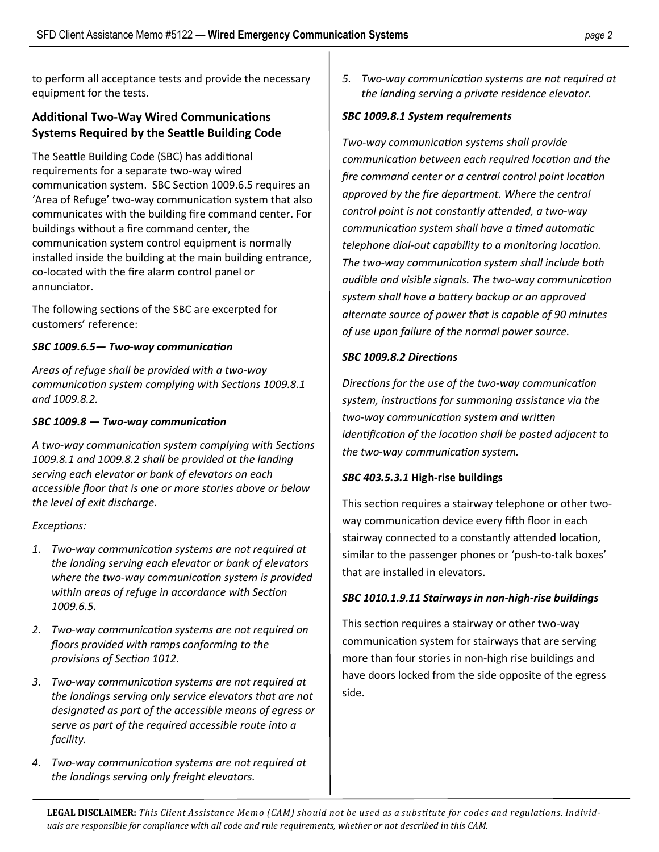to perform all acceptance tests and provide the necessary equipment for the tests.

## **Additional Two-Way Wired Communications Systems Required by the Seattle Building Code**

The Seattle Building Code (SBC) has additional requirements for a separate two-way wired communication system. SBC Section 1009.6.5 requires an 'Area of Refuge' two-way communication system that also communicates with the building fire command center. For buildings without a fire command center, the communication system control equipment is normally installed inside the building at the main building entrance, co-located with the fire alarm control panel or annunciator.

The following sections of the SBC are excerpted for customers' reference:

## *SBC 1009.6.5— Two-way communication*

*Areas of refuge shall be provided with a two-way communication system complying with Sections 1009.8.1 and 1009.8.2.* 

### *SBC 1009.8 — Two-way communication*

*A two-way communication system complying with Sections 1009.8.1 and 1009.8.2 shall be provided at the landing serving each elevator or bank of elevators on each accessible floor that is one or more stories above or below the level of exit discharge.*

### *Exceptions:*

- *1. Two-way communication systems are not required at the landing serving each elevator or bank of elevators where the two-way communication system is provided within areas of refuge in accordance with Section 1009.6.5.*
- *2. Two-way communication systems are not required on floors provided with ramps conforming to the provisions of Section 1012.*
- *3. Two-way communication systems are not required at the landings serving only service elevators that are not designated as part of the accessible means of egress or serve as part of the required accessible route into a facility.*
- *4. Two-way communication systems are not required at the landings serving only freight elevators.*

*5. Two-way communication systems are not required at the landing serving a private residence elevator.*

#### *SBC 1009.8.1 System requirements*

*Two-way communication systems shall provide communication between each required location and the fire command center or a central control point location approved by the fire department. Where the central control point is not constantly attended, a two-way communication system shall have a timed automatic telephone dial-out capability to a monitoring location. The two-way communication system shall include both audible and visible signals. The two-way communication system shall have a battery backup or an approved alternate source of power that is capable of 90 minutes of use upon failure of the normal power source.* 

### *SBC 1009.8.2 Directions*

*Directions for the use of the two-way communication system, instructions for summoning assistance via the two-way communication system and written identification of the location shall be posted adjacent to the two-way communication system.*

### *SBC 403.5.3.1* **High-rise buildings**

This section requires a stairway telephone or other twoway communication device every fifth floor in each stairway connected to a constantly attended location, similar to the passenger phones or 'push-to-talk boxes' that are installed in elevators.

## *SBC 1010.1.9.11 Stairways in non-high-rise buildings*

This section requires a stairway or other two-way communication system for stairways that are serving more than four stories in non-high rise buildings and have doors locked from the side opposite of the egress side.

**LEGAL DISCLAIMER:** *This Client Assistance Memo (CAM) should not be used as a substitute for codes and regulations. Individuals are responsible for compliance with all code and rule requirements, whether or not described in this CAM.*